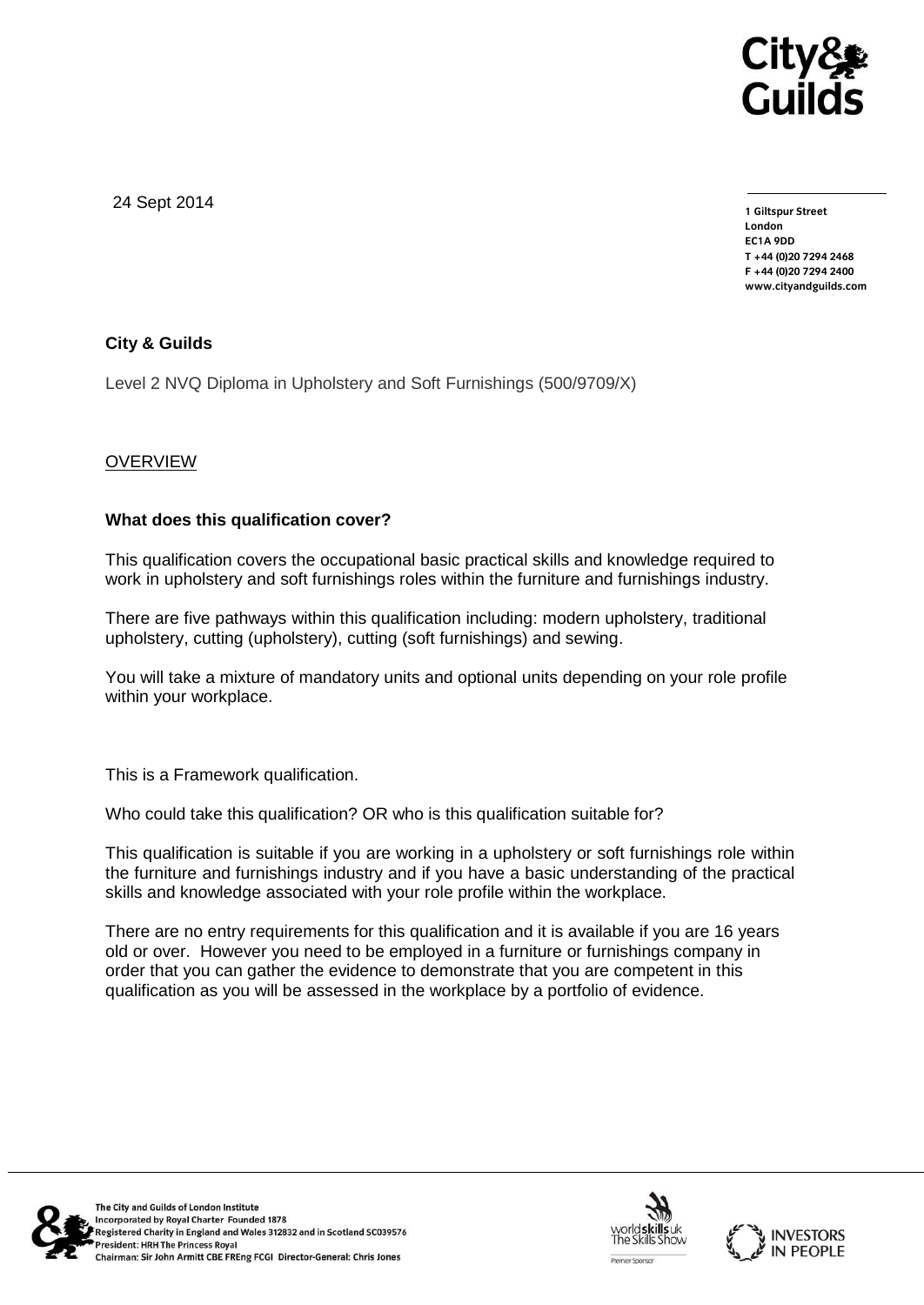

24 Sept 2014

**1 Giltspur Street EC1A 9DD** T +44 (0) 20 7 294 2468 **T +44 (0)20 7294 246[8](http://www.cityandguilds.com/) F +44 (0)20 7294 2400 [www.cityandguilds.com](http://www.cityandguilds.com/)**

# **City & Guilds**

Level 2 NVQ Diploma in Upholstery and Soft Furnishings (500/9709/X)

# **OVERVIEW**

### **What does this qualification cover?**

This qualification covers the occupational basic practical skills and knowledge required to work in upholstery and soft furnishings roles within the furniture and furnishings industry.

There are five pathways within this qualification including: modern upholstery, traditional upholstery, cutting (upholstery), cutting (soft furnishings) and sewing.

You will take a mixture of mandatory units and optional units depending on your role profile within your workplace.

This is a Framework qualification.

Who could take this qualification? OR who is this qualification suitable for?

This qualification is suitable if you are working in a upholstery or soft furnishings role within the furniture and furnishings industry and if you have a basic understanding of the practical skills and knowledge associated with your role profile within the workplace.

There are no entry requirements for this qualification and it is available if you are 16 years old or over. However you need to be employed in a furniture or furnishings company in order that you can gather the evidence to demonstrate that you are competent in this qualification as you will be assessed in the workplace by a portfolio of evidence.